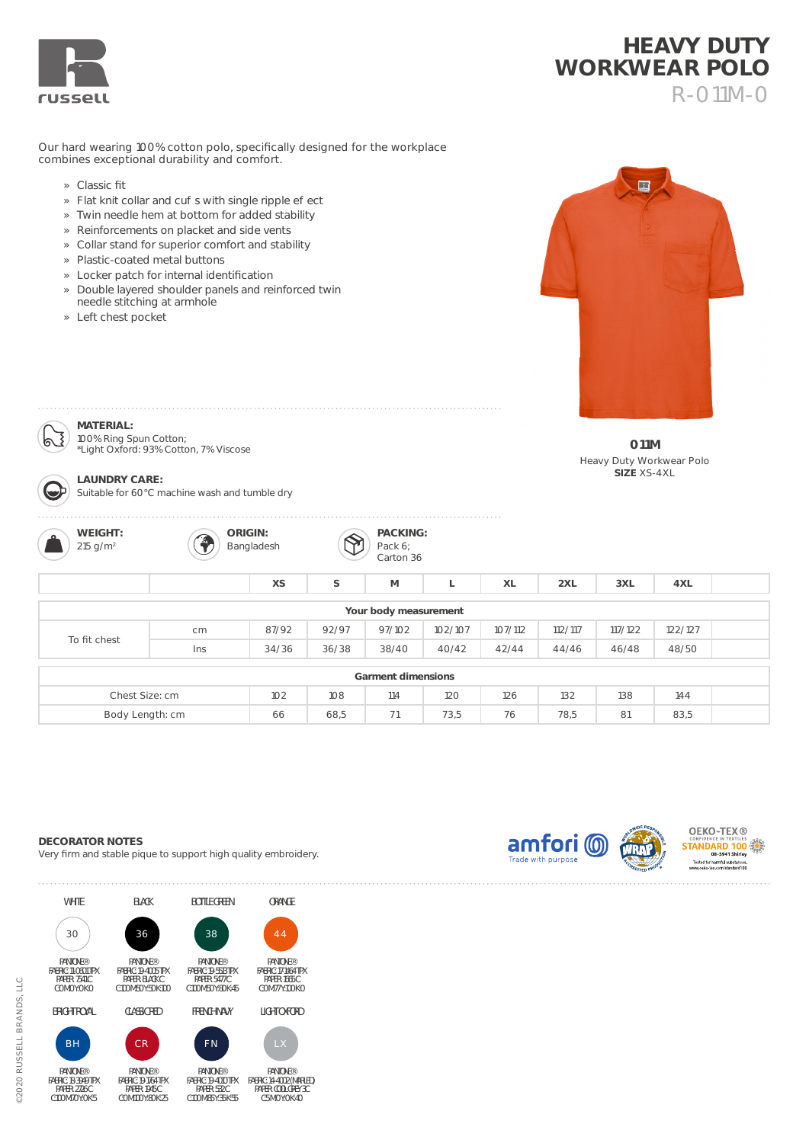

## **HEAVY DUTY WORKWEAR POLO** R-011M-0

Our hard wearing 100% cotton polo, specifically designed for the workplace combines exceptional durability and comfort.

- » Classic fit
- » Flat knit collar and cu s with single ripple e ect
- » Twin needle hem at bottom for added stability
- » Reinforcements on placket and side vents
- » Collar stand for superior comfort and stability
- » Plastic-coated metal buttons
- » Locker patch for internal identification
- » Double layered shoulder panels and reinforced twin needle stitching at armhole
- » Left chest pocket

**MATERIAL:** 



**011M** Heavy Duty Workwear Polo **SIZE** XS-4XL

100% Ring Spun Cotton; \*Light Oxford: 93% Cotton, 7% Viscose



**LAUNDRY CARE:**  Suitable for 60°C machine wash and tumble dry



**ORIGIN:** P Bangladesh **PACKING:** Pack 6; Carton 36

| Your body measurement |     |       |       |        |         |         |         |         |         |  |
|-----------------------|-----|-------|-------|--------|---------|---------|---------|---------|---------|--|
| To fit chest          | cm  | 87/92 | 92/97 | 97/102 | 102/107 | 107/112 | 112/117 | 117/122 | 122/127 |  |
|                       | Ins | 34/36 | 36/38 | 38/40  | 40/42   | 42/44   | 44/46   | 46/48   | 48/50   |  |
|                       |     |       |       |        |         |         |         |         |         |  |
| Garment dimensions    |     |       |       |        |         |         |         |         |         |  |
| Chest Size: cm        |     | 102   | 108   | 114    | 120     | 126     | 132     | 138     | 144     |  |

Body Length: cm 66 68,5 71 73,5 76 78,5 81 83,5

**XS S M L XL 2XL 3XL 4XL**

## **DECORATOR NOTES**

Very firm and stable pique to support high quality embroidery.



PAPER: COOL GREY 3C C:5 M:0 Y:0 K:40